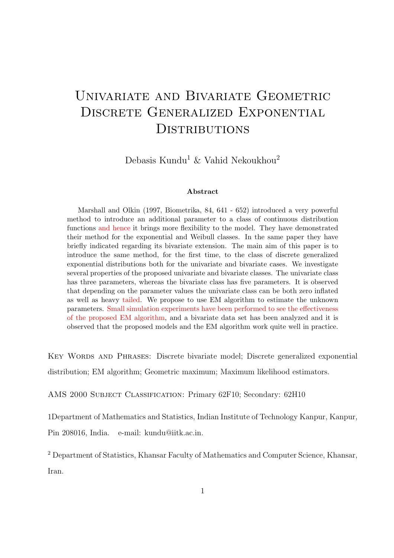# Univariate and Bivariate Geometric Discrete Generalized Exponential **DISTRIBUTIONS**

Debasis Kundu<sup>1</sup> & Vahid Nekoukhou<sup>2</sup>

#### Abstract

Marshall and Olkin (1997, Biometrika, 84, 641 - 652) introduced a very powerful method to introduce an additional parameter to a class of continuous distribution functions and hence it brings more flexibility to the model. They have demonstrated their method for the exponential and Weibull classes. In the same paper they have briefly indicated regarding its bivariate extension. The main aim of this paper is to introduce the same method, for the first time, to the class of discrete generalized exponential distributions both for the univariate and bivariate cases. We investigate several properties of the proposed univariate and bivariate classes. The univariate class has three parameters, whereas the bivariate class has five parameters. It is observed that depending on the parameter values the univariate class can be both zero inflated as well as heavy tailed. We propose to use EM algorithm to estimate the unknown parameters. Small simulation experiments have been performed to see the effectiveness of the proposed EM algorithm, and a bivariate data set has been analyzed and it is observed that the proposed models and the EM algorithm work quite well in practice.

Key Words and Phrases: Discrete bivariate model; Discrete generalized exponential distribution; EM algorithm; Geometric maximum; Maximum likelihood estimators.

AMS 2000 Subject Classification: Primary 62F10; Secondary: 62H10

1Department of Mathematics and Statistics, Indian Institute of Technology Kanpur, Kanpur,

Pin 208016, India. e-mail: kundu@iitk.ac.in.

<sup>2</sup> Department of Statistics, Khansar Faculty of Mathematics and Computer Science, Khansar, Iran.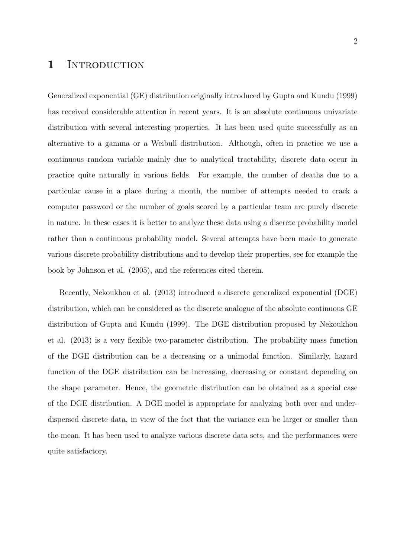### 1 INTRODUCTION

Generalized exponential (GE) distribution originally introduced by Gupta and Kundu (1999) has received considerable attention in recent years. It is an absolute continuous univariate distribution with several interesting properties. It has been used quite successfully as an alternative to a gamma or a Weibull distribution. Although, often in practice we use a continuous random variable mainly due to analytical tractability, discrete data occur in practice quite naturally in various fields. For example, the number of deaths due to a particular cause in a place during a month, the number of attempts needed to crack a computer password or the number of goals scored by a particular team are purely discrete in nature. In these cases it is better to analyze these data using a discrete probability model rather than a continuous probability model. Several attempts have been made to generate various discrete probability distributions and to develop their properties, see for example the book by Johnson et al. (2005), and the references cited therein.

Recently, Nekoukhou et al. (2013) introduced a discrete generalized exponential (DGE) distribution, which can be considered as the discrete analogue of the absolute continuous GE distribution of Gupta and Kundu (1999). The DGE distribution proposed by Nekoukhou et al. (2013) is a very flexible two-parameter distribution. The probability mass function of the DGE distribution can be a decreasing or a unimodal function. Similarly, hazard function of the DGE distribution can be increasing, decreasing or constant depending on the shape parameter. Hence, the geometric distribution can be obtained as a special case of the DGE distribution. A DGE model is appropriate for analyzing both over and underdispersed discrete data, in view of the fact that the variance can be larger or smaller than the mean. It has been used to analyze various discrete data sets, and the performances were quite satisfactory.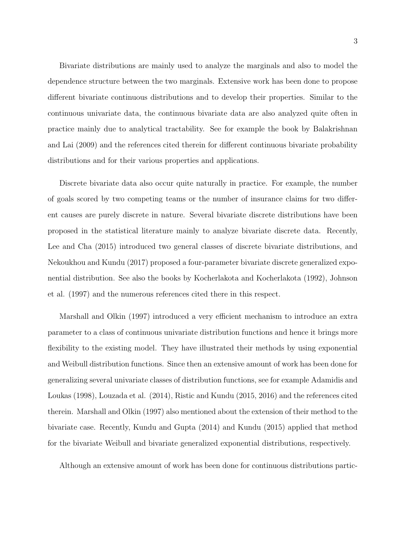Bivariate distributions are mainly used to analyze the marginals and also to model the dependence structure between the two marginals. Extensive work has been done to propose different bivariate continuous distributions and to develop their properties. Similar to the continuous univariate data, the continuous bivariate data are also analyzed quite often in practice mainly due to analytical tractability. See for example the book by Balakrishnan and Lai (2009) and the references cited therein for different continuous bivariate probability distributions and for their various properties and applications.

Discrete bivariate data also occur quite naturally in practice. For example, the number of goals scored by two competing teams or the number of insurance claims for two different causes are purely discrete in nature. Several bivariate discrete distributions have been proposed in the statistical literature mainly to analyze bivariate discrete data. Recently, Lee and Cha (2015) introduced two general classes of discrete bivariate distributions, and Nekoukhou and Kundu (2017) proposed a four-parameter bivariate discrete generalized exponential distribution. See also the books by Kocherlakota and Kocherlakota (1992), Johnson et al. (1997) and the numerous references cited there in this respect.

Marshall and Olkin (1997) introduced a very efficient mechanism to introduce an extra parameter to a class of continuous univariate distribution functions and hence it brings more flexibility to the existing model. They have illustrated their methods by using exponential and Weibull distribution functions. Since then an extensive amount of work has been done for generalizing several univariate classes of distribution functions, see for example Adamidis and Loukas (1998), Louzada et al. (2014), Ristic and Kundu (2015, 2016) and the references cited therein. Marshall and Olkin (1997) also mentioned about the extension of their method to the bivariate case. Recently, Kundu and Gupta (2014) and Kundu (2015) applied that method for the bivariate Weibull and bivariate generalized exponential distributions, respectively.

Although an extensive amount of work has been done for continuous distributions partic-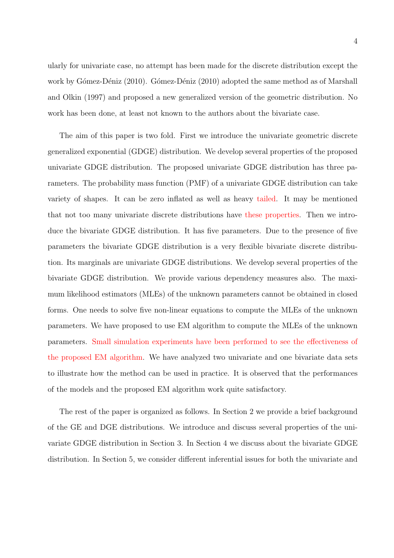ularly for univariate case, no attempt has been made for the discrete distribution except the work by Gómez-Déniz (2010). Gómez-Déniz (2010) adopted the same method as of Marshall and Olkin (1997) and proposed a new generalized version of the geometric distribution. No work has been done, at least not known to the authors about the bivariate case.

The aim of this paper is two fold. First we introduce the univariate geometric discrete generalized exponential (GDGE) distribution. We develop several properties of the proposed univariate GDGE distribution. The proposed univariate GDGE distribution has three parameters. The probability mass function (PMF) of a univariate GDGE distribution can take variety of shapes. It can be zero inflated as well as heavy tailed. It may be mentioned that not too many univariate discrete distributions have these properties. Then we introduce the bivariate GDGE distribution. It has five parameters. Due to the presence of five parameters the bivariate GDGE distribution is a very flexible bivariate discrete distribution. Its marginals are univariate GDGE distributions. We develop several properties of the bivariate GDGE distribution. We provide various dependency measures also. The maximum likelihood estimators (MLEs) of the unknown parameters cannot be obtained in closed forms. One needs to solve five non-linear equations to compute the MLEs of the unknown parameters. We have proposed to use EM algorithm to compute the MLEs of the unknown parameters. Small simulation experiments have been performed to see the effectiveness of the proposed EM algorithm. We have analyzed two univariate and one bivariate data sets to illustrate how the method can be used in practice. It is observed that the performances of the models and the proposed EM algorithm work quite satisfactory.

The rest of the paper is organized as follows. In Section 2 we provide a brief background of the GE and DGE distributions. We introduce and discuss several properties of the univariate GDGE distribution in Section 3. In Section 4 we discuss about the bivariate GDGE distribution. In Section 5, we consider different inferential issues for both the univariate and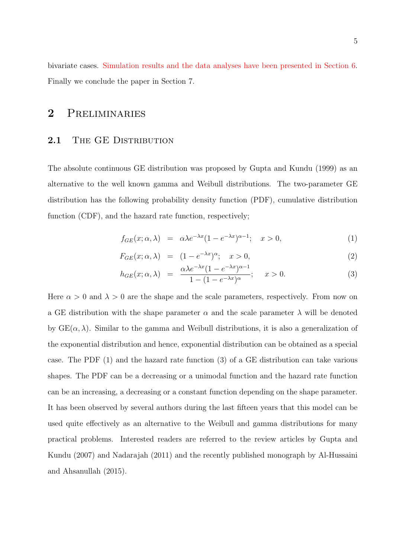bivariate cases. Simulation results and the data analyses have been presented in Section 6. Finally we conclude the paper in Section 7.

### 2 Preliminaries

#### 2.1 THE GE DISTRIBUTION

The absolute continuous GE distribution was proposed by Gupta and Kundu (1999) as an alternative to the well known gamma and Weibull distributions. The two-parameter GE distribution has the following probability density function (PDF), cumulative distribution function (CDF), and the hazard rate function, respectively;

$$
f_{GE}(x; \alpha, \lambda) = \alpha \lambda e^{-\lambda x} (1 - e^{-\lambda x})^{\alpha - 1}; \quad x > 0,
$$
 (1)

$$
F_{GE}(x; \alpha, \lambda) = (1 - e^{-\lambda x})^{\alpha}; \quad x > 0,
$$
\n
$$
(2)
$$

$$
h_{GE}(x; \alpha, \lambda) = \frac{\alpha \lambda e^{-\lambda x} (1 - e^{-\lambda x})^{\alpha - 1}}{1 - (1 - e^{-\lambda x})^{\alpha}}; \quad x > 0.
$$
 (3)

Here  $\alpha > 0$  and  $\lambda > 0$  are the shape and the scale parameters, respectively. From now on a GE distribution with the shape parameter  $\alpha$  and the scale parameter  $\lambda$  will be denoted by  $GE(\alpha, \lambda)$ . Similar to the gamma and Weibull distributions, it is also a generalization of the exponential distribution and hence, exponential distribution can be obtained as a special case. The PDF (1) and the hazard rate function (3) of a GE distribution can take various shapes. The PDF can be a decreasing or a unimodal function and the hazard rate function can be an increasing, a decreasing or a constant function depending on the shape parameter. It has been observed by several authors during the last fifteen years that this model can be used quite effectively as an alternative to the Weibull and gamma distributions for many practical problems. Interested readers are referred to the review articles by Gupta and Kundu (2007) and Nadarajah (2011) and the recently published monograph by Al-Hussaini and Ahsanullah (2015).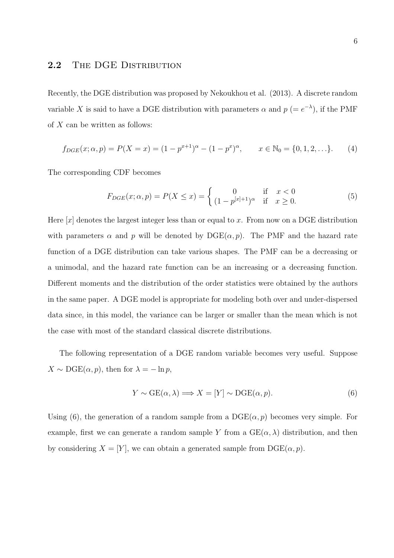#### 2.2 THE DGE DISTRIBUTION

Recently, the DGE distribution was proposed by Nekoukhou et al. (2013). A discrete random variable X is said to have a DGE distribution with parameters  $\alpha$  and  $p (= e^{-\lambda})$ , if the PMF of  $X$  can be written as follows:

$$
f_{DGE}(x; \alpha, p) = P(X = x) = (1 - p^{x+1})^{\alpha} - (1 - p^{x})^{\alpha}, \qquad x \in \mathbb{N}_0 = \{0, 1, 2, \ldots\}.
$$
 (4)

The corresponding CDF becomes

$$
F_{DGE}(x; \alpha, p) = P(X \le x) = \begin{cases} 0 & \text{if } x < 0\\ (1 - p^{[x]+1})^{\alpha} & \text{if } x \ge 0. \end{cases}
$$
(5)

Here  $[x]$  denotes the largest integer less than or equal to x. From now on a DGE distribution with parameters  $\alpha$  and p will be denoted by  $\text{DGE}(\alpha, p)$ . The PMF and the hazard rate function of a DGE distribution can take various shapes. The PMF can be a decreasing or a unimodal, and the hazard rate function can be an increasing or a decreasing function. Different moments and the distribution of the order statistics were obtained by the authors in the same paper. A DGE model is appropriate for modeling both over and under-dispersed data since, in this model, the variance can be larger or smaller than the mean which is not the case with most of the standard classical discrete distributions.

The following representation of a DGE random variable becomes very useful. Suppose  $X \sim \text{DGE}(\alpha, p)$ , then for  $\lambda = -\ln p$ ,

$$
Y \sim \text{GE}(\alpha, \lambda) \Longrightarrow X = [Y] \sim \text{DGE}(\alpha, p). \tag{6}
$$

Using (6), the generation of a random sample from a  $DGE(\alpha, p)$  becomes very simple. For example, first we can generate a random sample Y from a  $GE(\alpha, \lambda)$  distribution, and then by considering  $X = [Y]$ , we can obtain a generated sample from  $\text{DGE}(\alpha, p)$ .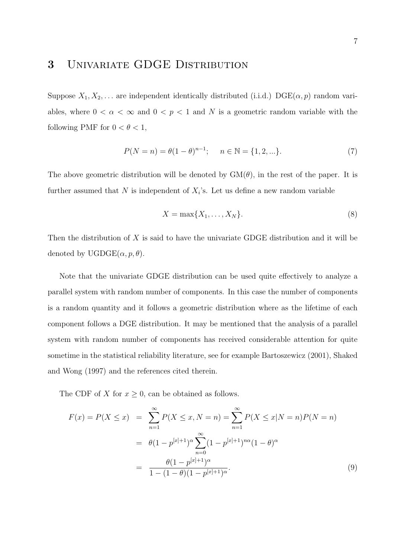## 3 Univariate GDGE Distribution

Suppose  $X_1, X_2, \ldots$  are independent identically distributed (i.i.d.)  $\mathrm{DGE}(\alpha, p)$  random variables, where  $0 < \alpha < \infty$  and  $0 < p < 1$  and N is a geometric random variable with the following PMF for  $0 < \theta < 1$ ,

$$
P(N = n) = \theta(1 - \theta)^{n-1}; \quad n \in \mathbb{N} = \{1, 2, ...\}.
$$
 (7)

The above geometric distribution will be denoted by  $GM(\theta)$ , in the rest of the paper. It is further assumed that N is independent of  $X_i$ 's. Let us define a new random variable

$$
X = \max\{X_1, \dots, X_N\}.\tag{8}
$$

Then the distribution of  $X$  is said to have the univariate GDGE distribution and it will be denoted by  $UGDGE(\alpha, p, \theta)$ .

Note that the univariate GDGE distribution can be used quite effectively to analyze a parallel system with random number of components. In this case the number of components is a random quantity and it follows a geometric distribution where as the lifetime of each component follows a DGE distribution. It may be mentioned that the analysis of a parallel system with random number of components has received considerable attention for quite sometime in the statistical reliability literature, see for example Bartoszewicz (2001), Shaked and Wong (1997) and the references cited therein.

The CDF of X for  $x \geq 0$ , can be obtained as follows.

$$
F(x) = P(X \le x) = \sum_{n=1}^{\infty} P(X \le x, N = n) = \sum_{n=1}^{\infty} P(X \le x | N = n) P(N = n)
$$

$$
= \theta (1 - p^{[x]+1})^{\alpha} \sum_{n=0}^{\infty} (1 - p^{[x]+1})^{n\alpha} (1 - \theta)^{\alpha}
$$

$$
= \frac{\theta (1 - p^{[x]+1})^{\alpha}}{1 - (1 - \theta)(1 - p^{[x]+1})^{\alpha}}.
$$
(9)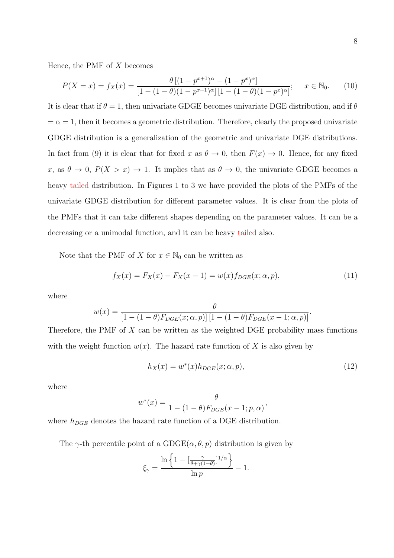Hence, the PMF of  $X$  becomes

$$
P(X = x) = f_X(x) = \frac{\theta \left[ (1 - p^{x+1})^{\alpha} - (1 - p^x)^{\alpha} \right]}{\left[ 1 - (1 - \theta)(1 - p^{x+1})^{\alpha} \right] \left[ 1 - (1 - \theta)(1 - p^x)^{\alpha} \right]}; \quad x \in \mathbb{N}_0.
$$
 (10)

It is clear that if  $\theta = 1$ , then univariate GDGE becomes univariate DGE distribution, and if  $\theta$  $=\alpha = 1$ , then it becomes a geometric distribution. Therefore, clearly the proposed univariate GDGE distribution is a generalization of the geometric and univariate DGE distributions. In fact from (9) it is clear that for fixed x as  $\theta \to 0$ , then  $F(x) \to 0$ . Hence, for any fixed x, as  $\theta \to 0$ ,  $P(X > x) \to 1$ . It implies that as  $\theta \to 0$ , the univariate GDGE becomes a heavy tailed distribution. In Figures 1 to 3 we have provided the plots of the PMFs of the univariate GDGE distribution for different parameter values. It is clear from the plots of the PMFs that it can take different shapes depending on the parameter values. It can be a decreasing or a unimodal function, and it can be heavy tailed also.

Note that the PMF of X for  $x \in \mathbb{N}_0$  can be written as

$$
f_X(x) = F_X(x) - F_X(x-1) = w(x)f_{DGE}(x; \alpha, p),
$$
\n(11)

where

$$
w(x) = \frac{\theta}{\left[1 - (1 - \theta)F_{DGE}(x; \alpha, p)\right]\left[1 - (1 - \theta)F_{DGE}(x - 1; \alpha, p)\right]}.
$$

Therefore, the PMF of  $X$  can be written as the weighted DGE probability mass functions with the weight function  $w(x)$ . The hazard rate function of X is also given by

$$
h_X(x) = w^*(x)h_{DGE}(x; \alpha, p),\tag{12}
$$

where

$$
w^*(x) = \frac{\theta}{1 - (1 - \theta)F_{DGE}(x - 1; p, \alpha)},
$$

where  $h_{DGE}$  denotes the hazard rate function of a DGE distribution.

The  $\gamma$ -th percentile point of a GDGE( $\alpha$ ,  $\theta$ ,  $p$ ) distribution is given by

$$
\xi_\gamma = \frac{\ln\left\{1-[\frac{\gamma}{\theta+\gamma(1-\theta)}]^{1/\alpha}\right\}}{\ln p} - 1.
$$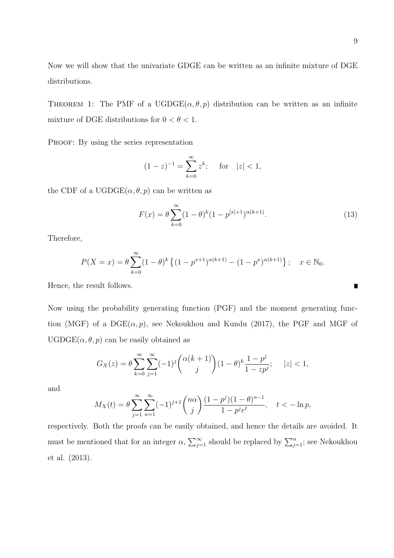THEOREM 1: The PMF of a UGDGE $(\alpha, \theta, p)$  distribution can be written as an infinite mixture of DGE distributions for  $0 < \theta < 1$ .

PROOF: By using the series representation

$$
(1-z)^{-1} = \sum_{k=0}^{\infty} z^k
$$
; for  $|z| < 1$ ,

the CDF of a UGDGE $(\alpha, \theta, p)$  can be written as

$$
F(x) = \theta \sum_{k=0}^{\infty} (1 - \theta)^k (1 - p^{[x]+1})^{\alpha(k+1)}.
$$
 (13)

Therefore,

$$
P(X = x) = \theta \sum_{k=0}^{\infty} (1 - \theta)^k \left\{ (1 - p^{x+1})^{\alpha(k+1)} - (1 - p^x)^{\alpha(k+1)} \right\}; \quad x \in \mathbb{N}_0.
$$

Hence, the result follows.

Now using the probability generating function (PGF) and the moment generating function (MGF) of a  $DGE(\alpha, p)$ , see Nekoukhou and Kundu (2017), the PGF and MGF of  $UGDGE(\alpha, \theta, p)$  can be easily obtained as

$$
G_X(z) = \theta \sum_{k=0}^{\infty} \sum_{j=1}^{\infty} (-1)^j {\binom{\alpha(k+1)}{j}} (1-\theta)^k \frac{1-p^j}{1-zp^j}; \quad |z| < 1,
$$

and

$$
M_X(t) = \theta \sum_{j=1}^{\infty} \sum_{n=1}^{\infty} (-1)^{j+1} \binom{n\alpha}{j} \frac{(1-p^j)(1-\theta)^{n-1}}{1-p^j e^t}, \quad t < -\ln p,
$$

respectively. Both the proofs can be easily obtained, and hence the details are avoided. It must be mentioned that for an integer  $\alpha$ ,  $\sum_{j=1}^{\infty}$  should be replaced by  $\sum_{j=1}^{\alpha}$ ; see Nekoukhou et al. (2013).

 $\blacksquare$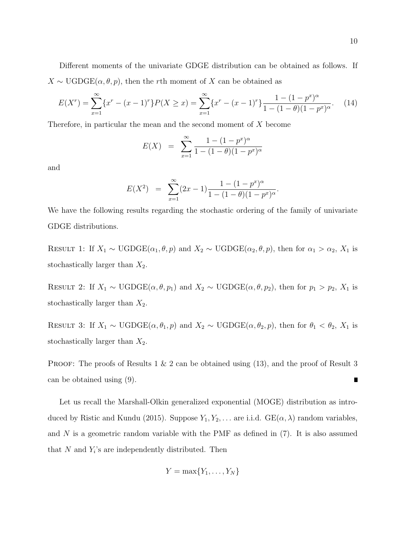Different moments of the univariate GDGE distribution can be obtained as follows. If  $X \sim \text{UGDGE}(\alpha, \theta, p)$ , then the rth moment of X can be obtained as

$$
E(X^r) = \sum_{x=1}^{\infty} \{x^r - (x-1)^r\} P(X \ge x) = \sum_{x=1}^{\infty} \{x^r - (x-1)^r\} \frac{1 - (1 - p^x)^{\alpha}}{1 - (1 - \theta)(1 - p^x)^{\alpha}}.
$$
 (14)

Therefore, in particular the mean and the second moment of X become

$$
E(X) = \sum_{x=1}^{\infty} \frac{1 - (1 - p^x)^{\alpha}}{1 - (1 - \theta)(1 - p^x)^{\alpha}}
$$

and

$$
E(X^{2}) = \sum_{x=1}^{\infty} (2x - 1) \frac{1 - (1 - p^{x})^{\alpha}}{1 - (1 - \theta)(1 - p^{x})^{\alpha}}
$$

.

We have the following results regarding the stochastic ordering of the family of univariate GDGE distributions.

RESULT 1: If  $X_1 \sim \text{UGDGE}(\alpha_1, \theta, p)$  and  $X_2 \sim \text{UGDGE}(\alpha_2, \theta, p)$ , then for  $\alpha_1 > \alpha_2$ ,  $X_1$  is stochastically larger than  $X_2$ .

RESULT 2: If  $X_1 \sim \text{UGDGE}(\alpha, \theta, p_1)$  and  $X_2 \sim \text{UGDGE}(\alpha, \theta, p_2)$ , then for  $p_1 > p_2$ ,  $X_1$  is stochastically larger than  $X_2$ .

RESULT 3: If  $X_1 \sim \text{UGDGE}(\alpha, \theta_1, p)$  and  $X_2 \sim \text{UGDGE}(\alpha, \theta_2, p)$ , then for  $\theta_1 < \theta_2$ ,  $X_1$  is stochastically larger than  $X_2$ .

**PROOF:** The proofs of Results 1  $\&$  2 can be obtained using (13), and the proof of Result 3 can be obtained using (9).  $\blacksquare$ 

Let us recall the Marshall-Olkin generalized exponential (MOGE) distribution as introduced by Ristic and Kundu (2015). Suppose  $Y_1, Y_2, \ldots$  are i.i.d.  $GE(\alpha, \lambda)$  random variables, and  $N$  is a geometric random variable with the PMF as defined in  $(7)$ . It is also assumed that  $N$  and  $Y_i$ 's are independently distributed. Then

$$
Y = \max\{Y_1, \ldots, Y_N\}
$$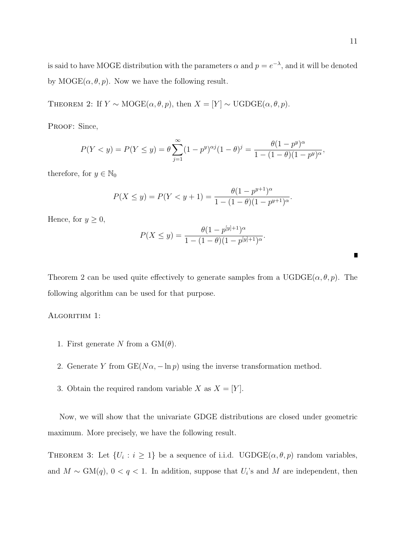is said to have MOGE distribution with the parameters  $\alpha$  and  $p = e^{-\lambda}$ , and it will be denoted by  $\text{MOGE}(\alpha, \theta, p)$ . Now we have the following result.

THEOREM 2: If  $Y \sim \text{MOGE}(\alpha, \theta, p)$ , then  $X = [Y] \sim \text{UGDGE}(\alpha, \theta, p)$ .

PROOF: Since,

$$
P(Y < y) = P(Y \le y) = \theta \sum_{j=1}^{\infty} (1 - p^y)^{\alpha j} (1 - \theta)^j = \frac{\theta (1 - p^y)^{\alpha}}{1 - (1 - \theta)(1 - p^y)^{\alpha}},
$$

therefore, for  $y \in \mathbb{N}_0$ 

$$
P(X \le y) = P(Y < y + 1) = \frac{\theta(1 - p^{y+1})^{\alpha}}{1 - (1 - \theta)(1 - p^{y+1})^{\alpha}}.
$$

Hence, for  $y \geq 0$ ,

$$
P(X \le y) = \frac{\theta(1 - p^{[y]+1})^{\alpha}}{1 - (1 - \theta)(1 - p^{[y]+1})^{\alpha}}
$$

.

Theorem 2 can be used quite effectively to generate samples from a  $UGDGE(\alpha, \theta, p)$ . The following algorithm can be used for that purpose.

ALGORITHM 1:

- 1. First generate N from a  $GM(\theta)$ .
- 2. Generate Y from  $GE(N\alpha, -\ln p)$  using the inverse transformation method.
- 3. Obtain the required random variable X as  $X = [Y]$ .

Now, we will show that the univariate GDGE distributions are closed under geometric maximum. More precisely, we have the following result.

THEOREM 3: Let  $\{U_i : i \geq 1\}$  be a sequence of i.i.d. UGDGE( $\alpha, \theta, p$ ) random variables, and  $M \sim GM(q)$ ,  $0 < q < 1$ . In addition, suppose that  $U_i$ 's and M are independent, then

π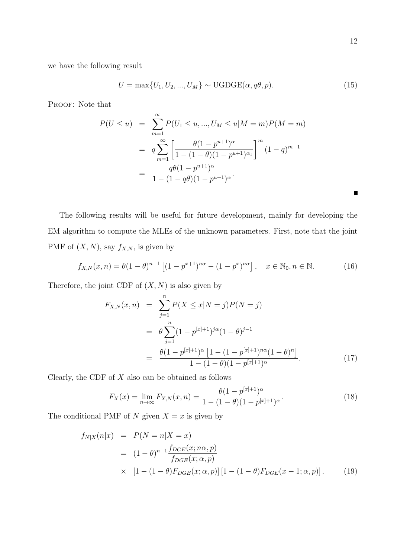$\blacksquare$ 

we have the following result

$$
U = \max\{U_1, U_2, ..., U_M\} \sim \text{UGDGE}(\alpha, q\theta, p). \tag{15}
$$

PROOF: Note that

$$
P(U \le u) = \sum_{m=1}^{\infty} P(U_1 \le u, ..., U_M \le u | M = m) P(M = m)
$$
  
= 
$$
q \sum_{m=1}^{\infty} \left[ \frac{\theta (1 - p^{u+1})^{\alpha}}{1 - (1 - \theta)(1 - p^{u+1})^{\alpha_1}} \right]^m (1 - q)^{m-1}
$$
  
= 
$$
\frac{q\theta (1 - p^{u+1})^{\alpha}}{1 - (1 - q\theta)(1 - p^{u+1})^{\alpha}}.
$$

The following results will be useful for future development, mainly for developing the EM algorithm to compute the MLEs of the unknown parameters. First, note that the joint PMF of  $(X, N)$ , say  $f_{X,N}$ , is given by

$$
f_{X,N}(x,n) = \theta (1-\theta)^{n-1} \left[ (1 - p^{x+1})^{n\alpha} - (1 - p^x)^{n\alpha} \right], \quad x \in \mathbb{N}_0, n \in \mathbb{N}.
$$
 (16)

Therefore, the joint CDF of  $(X, N)$  is also given by

$$
F_{X,N}(x,n) = \sum_{j=1}^{n} P(X \le x | N = j) P(N = j)
$$
  
= 
$$
\theta \sum_{j=1}^{n} (1 - p^{[x]+1})^{j\alpha} (1 - \theta)^{j-1}
$$
  
= 
$$
\frac{\theta(1 - p^{[x]+1})^{\alpha} [1 - (1 - p^{[x]+1})^{\alpha} (1 - \theta)^{n}]}{1 - (1 - \theta)(1 - p^{[x]+1})^{\alpha}}.
$$
 (17)

Clearly, the CDF of  $X$  also can be obtained as follows

$$
F_X(x) = \lim_{n \to \infty} F_{X,N}(x, n) = \frac{\theta(1 - p^{[x]+1})^{\alpha}}{1 - (1 - \theta)(1 - p^{[x]+1})^{\alpha}}.
$$
\n(18)

The conditional PMF of N given  $X = x$  is given by

$$
f_{N|X}(n|x) = P(N = n|X = x)
$$
  
=  $(1 - \theta)^{n-1} \frac{f_{DGE}(x; n\alpha, p)}{f_{DGE}(x; \alpha, p)}$   
 $\times [1 - (1 - \theta)F_{DGE}(x; \alpha, p)] [1 - (1 - \theta)F_{DGE}(x - 1; \alpha, p)].$  (19)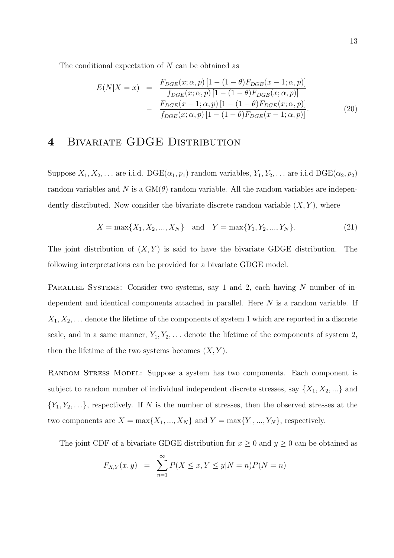The conditional expectation of  $N$  can be obtained as

$$
E(N|X = x) = \frac{F_{DGE}(x; \alpha, p) [1 - (1 - \theta) F_{DGE}(x - 1; \alpha, p)]}{f_{DGE}(x; \alpha, p) [1 - (1 - \theta) F_{DGE}(x; \alpha, p)]}
$$

$$
- \frac{F_{DGE}(x - 1; \alpha, p) [1 - (1 - \theta) F_{DGE}(x; \alpha, p)]}{f_{DGE}(x; \alpha, p) [1 - (1 - \theta) F_{DGE}(x - 1; \alpha, p)]}.
$$
(20)

### 4 BIVARIATE GDGE DISTRIBUTION

Suppose  $X_1, X_2, \ldots$  are i.i.d.  $\text{DGE}(\alpha_1, p_1)$  random variables,  $Y_1, Y_2, \ldots$  are i.i.d  $\text{DGE}(\alpha_2, p_2)$ random variables and N is a  $GM(\theta)$  random variable. All the random variables are independently distributed. Now consider the bivariate discrete random variable  $(X, Y)$ , where

$$
X = \max\{X_1, X_2, ..., X_N\} \text{ and } Y = \max\{Y_1, Y_2, ..., Y_N\}.
$$
 (21)

The joint distribution of  $(X, Y)$  is said to have the bivariate GDGE distribution. The following interpretations can be provided for a bivariate GDGE model.

PARALLEL SYSTEMS: Consider two systems, say 1 and 2, each having N number of independent and identical components attached in parallel. Here N is a random variable. If  $X_1, X_2, \ldots$  denote the lifetime of the components of system 1 which are reported in a discrete scale, and in a same manner,  $Y_1, Y_2, \ldots$  denote the lifetime of the components of system 2, then the lifetime of the two systems becomes  $(X, Y)$ .

Random Stress Model: Suppose a system has two components. Each component is subject to random number of individual independent discrete stresses, say  $\{X_1, X_2, ...\}$  and  ${Y_1, Y_2, \ldots}$ , respectively. If N is the number of stresses, then the observed stresses at the two components are  $X = \max\{X_1, ..., X_N\}$  and  $Y = \max\{Y_1, ..., Y_N\}$ , respectively.

The joint CDF of a bivariate GDGE distribution for  $x \geq 0$  and  $y \geq 0$  can be obtained as

$$
F_{X,Y}(x, y) = \sum_{n=1}^{\infty} P(X \le x, Y \le y | N = n) P(N = n)
$$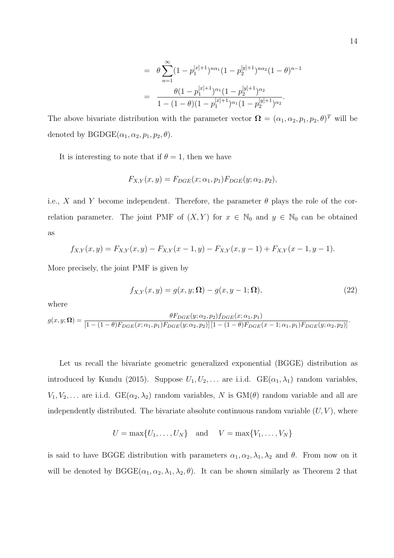$$
= \theta \sum_{n=1}^{\infty} (1 - p_1^{[x]+1})^{n\alpha_1} (1 - p_2^{[y]+1})^{n\alpha_2} (1 - \theta)^{n-1}
$$

$$
= \frac{\theta (1 - p_1^{[x]+1})^{\alpha_1} (1 - p_2^{[y]+1})^{\alpha_2}}{1 - (1 - \theta)(1 - p_1^{[x]+1})^{\alpha_1} (1 - p_2^{[y]+1})^{\alpha_2}}.
$$

The above bivariate distribution with the parameter vector  $\mathbf{\Omega} = (\alpha_1, \alpha_2, p_1, p_2, \theta)^T$  will be denoted by  $BGDGE(\alpha_1, \alpha_2, p_1, p_2, \theta)$ .

It is interesting to note that if  $\theta = 1$ , then we have

$$
F_{X,Y}(x,y) = F_{DGE}(x;\alpha_1,p_1)F_{DGE}(y;\alpha_2,p_2),
$$

i.e., X and Y become independent. Therefore, the parameter  $\theta$  plays the role of the correlation parameter. The joint PMF of  $(X, Y)$  for  $x \in \mathbb{N}_0$  and  $y \in \mathbb{N}_0$  can be obtained as

$$
f_{X,Y}(x,y) = F_{X,Y}(x,y) - F_{X,Y}(x-1,y) - F_{X,Y}(x,y-1) + F_{X,Y}(x-1,y-1).
$$

More precisely, the joint PMF is given by

$$
f_{X,Y}(x,y) = g(x,y;\Omega) - g(x,y-1;\Omega),\tag{22}
$$

where

$$
g(x, y; \mathbf{\Omega}) = \frac{\theta F_{DGE}(y; \alpha_2, p_2) f_{DGE}(x; \alpha_1, p_1)}{[1 - (1 - \theta) F_{DGE}(x; \alpha_1, p_1) F_{DGE}(y; \alpha_2, p_2)] [1 - (1 - \theta) F_{DGE}(x - 1; \alpha_1, p_1) F_{DGE}(y; \alpha_2, p_2)]}.
$$

Let us recall the bivariate geometric generalized exponential (BGGE) distribution as introduced by Kundu (2015). Suppose  $U_1, U_2, \ldots$  are i.i.d.  $GE(\alpha_1, \lambda_1)$  random variables,  $V_1, V_2, \ldots$  are i.i.d.  $GE(\alpha_2, \lambda_2)$  random variables, N is  $GM(\theta)$  random variable and all are independently distributed. The bivariate absolute continuous random variable  $(U, V)$ , where

$$
U = \max\{U_1, \ldots, U_N\} \quad \text{and} \quad V = \max\{V_1, \ldots, V_N\}
$$

is said to have BGGE distribution with parameters  $\alpha_1, \alpha_2, \lambda_1, \lambda_2$  and  $\theta$ . From now on it will be denoted by  $B GGE(\alpha_1, \alpha_2, \lambda_1, \lambda_2, \theta)$ . It can be shown similarly as Theorem 2 that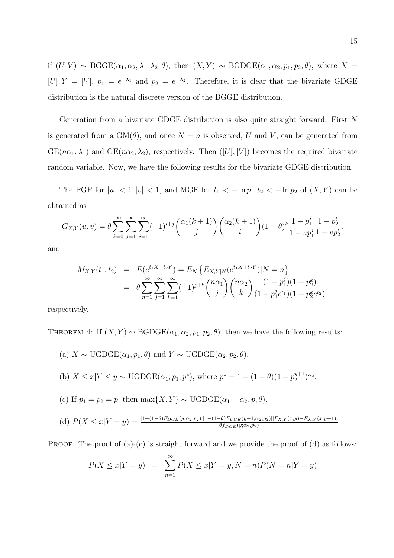if  $(U, V) \sim \text{BGGE}(\alpha_1, \alpha_2, \lambda_1, \lambda_2, \theta)$ , then  $(X, Y) \sim \text{BGDGE}(\alpha_1, \alpha_2, p_1, p_2, \theta)$ , where  $X =$ [U],  $Y = [V]$ ,  $p_1 = e^{-\lambda_1}$  and  $p_2 = e^{-\lambda_2}$ . Therefore, it is clear that the bivariate GDGE distribution is the natural discrete version of the BGGE distribution.

Generation from a bivariate GDGE distribution is also quite straight forward. First N is generated from a  $GM(\theta)$ , and once  $N = n$  is observed, U and V, can be generated from  $GE(n\alpha_1, \lambda_1)$  and  $GE(n\alpha_2, \lambda_2)$ , respectively. Then  $([U], [V])$  becomes the required bivariate random variable. Now, we have the following results for the bivariate GDGE distribution.

The PGF for  $|u| < 1, |v| < 1$ , and MGF for  $t_1 < -\ln p_1, t_2 < -\ln p_2$  of  $(X, Y)$  can be obtained as

$$
G_{X,Y}(u,v) = \theta \sum_{k=0}^{\infty} \sum_{j=1}^{\infty} \sum_{i=1}^{\infty} (-1)^{i+j} \binom{\alpha_1(k+1)}{j} \binom{\alpha_2(k+1)}{i} (1-\theta)^k \frac{1-p_1^j}{1-up_1^j} \frac{1-p_2^i}{1-up_2^j}.
$$

and

$$
M_{X,Y}(t_1, t_2) = E(e^{t_1 X + t_2 Y}) = E_N \{ E_{X,Y|N}(e^{t_1 X + t_2 Y}) | N = n \}
$$
  
=  $\theta \sum_{n=1}^{\infty} \sum_{j=1}^{\infty} \sum_{k=1}^{\infty} (-1)^{j+k} {n \alpha_1 \choose j} {n \alpha_2 \choose k} \frac{(1-p_1^j)(1-p_2^k)}{(1-p_1^j e^{t_1})(1-p_2^k e^{t_2})},$ 

respectively.

THEOREM 4: If  $(X, Y) \sim \text{BGDGE}(\alpha_1, \alpha_2, p_1, p_2, \theta)$ , then we have the following results:

\n- (a) 
$$
X \sim \text{UGDGE}(\alpha_1, p_1, \theta)
$$
 and  $Y \sim \text{UGDGE}(\alpha_2, p_2, \theta)$ .
\n- (b)  $X \leq x | Y \leq y \sim \text{UGDGE}(\alpha_1, p_1, p^*)$ , where  $p^* = 1 - (1 - \theta)(1 - p_2^{y+1})^{\alpha_2}$ .
\n- (c) If  $p_1 = p_2 = p$ , then  $\max\{X, Y\} \sim \text{UGDGE}(\alpha_1 + \alpha_2, p, \theta)$ .
\n

(d) 
$$
P(X \le x | Y = y) = \frac{[1 - (1 - \theta)F_{DGE}(y; \alpha_2, p_2)][1 - (1 - \theta)F_{DGE}(y - 1; \alpha_2, p_2)][F_{X,Y}(x,y) - F_{X,Y}(x,y-1)]}{\theta f_{DGE}(y; \alpha_2, p_2)}
$$

**PROOF.** The proof of  $(a)-(c)$  is straight forward and we provide the proof of  $(d)$  as follows:

$$
P(X \le x | Y = y) = \sum_{n=1}^{\infty} P(X \le x | Y = y, N = n) P(N = n | Y = y)
$$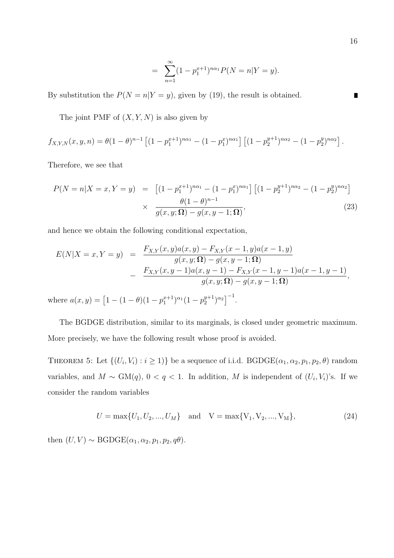$$
= \sum_{n=1}^{\infty} (1 - p_1^{x+1})^{n\alpha_1} P(N = n | Y = y).
$$

By substitution the  $P(N = n|Y = y)$ , given by (19), the result is obtained.

The joint PMF of  $(X, Y, N)$  is also given by

$$
f_{X,Y,N}(x,y,n) = \theta(1-\theta)^{n-1} \left[ (1-p_1^{x+1})^{n\alpha_1} - (1-p_1^x)^{n\alpha_1} \right] \left[ (1-p_2^{y+1})^{n\alpha_2} - (1-p_2^y)^{n\alpha_2} \right].
$$

Therefore, we see that

$$
P(N = n|X = x, Y = y) = [(1 - p_1^{x+1})^{n\alpha_1} - (1 - p_1^{x})^{n\alpha_1}] [(1 - p_2^{y+1})^{n\alpha_2} - (1 - p_2^{y})^{n\alpha_2}]
$$
  

$$
\times \frac{\theta(1 - \theta)^{n-1}}{g(x, y; \Omega) - g(x, y - 1; \Omega)},
$$
(23)

and hence we obtain the following conditional expectation,

$$
E(N|X = x, Y = y) = \frac{F_{X,Y}(x, y)a(x, y) - F_{X,Y}(x - 1, y)a(x - 1, y)}{g(x, y; \Omega) - g(x, y - 1; \Omega)}
$$
  

$$
- \frac{F_{X,Y}(x, y - 1)a(x, y - 1) - F_{X,Y}(x - 1, y - 1)a(x - 1, y - 1)}{g(x, y; \Omega) - g(x, y - 1; \Omega)},
$$

where  $a(x, y) = [1 - (1 - \theta)(1 - p_1^{x+1})^{\alpha_1}(1 - p_2^{y+1})]$  $\binom{y+1}{2}$ <sup> $\alpha_2$ </sup> $\binom{-1}{2}$ .

The BGDGE distribution, similar to its marginals, is closed under geometric maximum. More precisely, we have the following result whose proof is avoided.

THEOREM 5: Let  $\{(U_i, V_i) : i \geq 1)\}$  be a sequence of i.i.d. BGDGE( $\alpha_1, \alpha_2, p_1, p_2, \theta$ ) random variables, and  $M \sim GM(q)$ ,  $0 < q < 1$ . In addition, M is independent of  $(U_i, V_i)$ 's. If we consider the random variables

$$
U = \max\{U_1, U_2, ..., U_M\} \quad \text{and} \quad V = \max\{V_1, V_2, ..., V_M\},\tag{24}
$$

then  $(U, V) \sim \text{BGDGE}(\alpha_1, \alpha_2, p_1, p_2, q\theta)$ .

 $\blacksquare$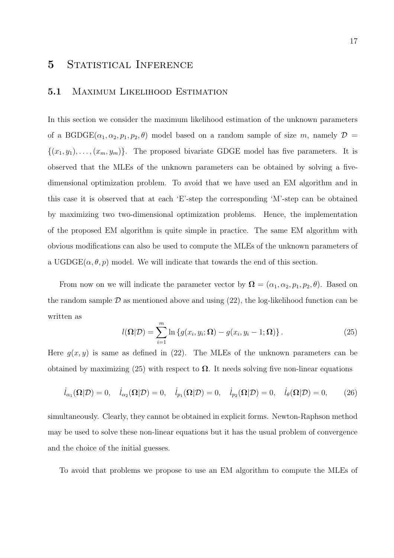### 5 STATISTICAL INFERENCE

#### 5.1 Maximum Likelihood Estimation

In this section we consider the maximum likelihood estimation of the unknown parameters of a BGDGE( $\alpha_1, \alpha_2, p_1, p_2, \theta$ ) model based on a random sample of size m, namely  $\mathcal{D} =$  $\{(x_1, y_1), \ldots, (x_m, y_m)\}.$  The proposed bivariate GDGE model has five parameters. It is observed that the MLEs of the unknown parameters can be obtained by solving a fivedimensional optimization problem. To avoid that we have used an EM algorithm and in this case it is observed that at each 'E'-step the corresponding 'M'-step can be obtained by maximizing two two-dimensional optimization problems. Hence, the implementation of the proposed EM algorithm is quite simple in practice. The same EM algorithm with obvious modifications can also be used to compute the MLEs of the unknown parameters of a UGDGE( $\alpha, \theta, p$ ) model. We will indicate that towards the end of this section.

From now on we will indicate the parameter vector by  $\mathbf{\Omega} = (\alpha_1, \alpha_2, p_1, p_2, \theta)$ . Based on the random sample  $\mathcal D$  as mentioned above and using (22), the log-likelihood function can be written as

$$
l(\mathbf{\Omega}|\mathcal{D}) = \sum_{i=1}^{m} \ln \left\{ g(x_i, y_i; \mathbf{\Omega}) - g(x_i, y_i - 1; \mathbf{\Omega}) \right\}.
$$
 (25)

Here  $g(x, y)$  is same as defined in (22). The MLEs of the unknown parameters can be obtained by maximizing (25) with respect to  $\Omega$ . It needs solving five non-linear equations

$$
\dot{l}_{\alpha_1}(\mathbf{\Omega}|\mathcal{D})=0, \quad \dot{l}_{\alpha_2}(\mathbf{\Omega}|\mathcal{D})=0, \quad \dot{l}_{p_1}(\mathbf{\Omega}|\mathcal{D})=0, \quad \dot{l}_{p_2}(\mathbf{\Omega}|\mathcal{D})=0, \quad \dot{l}_{\theta}(\mathbf{\Omega}|\mathcal{D})=0, \quad (26)
$$

simultaneously. Clearly, they cannot be obtained in explicit forms. Newton-Raphson method may be used to solve these non-linear equations but it has the usual problem of convergence and the choice of the initial guesses.

To avoid that problems we propose to use an EM algorithm to compute the MLEs of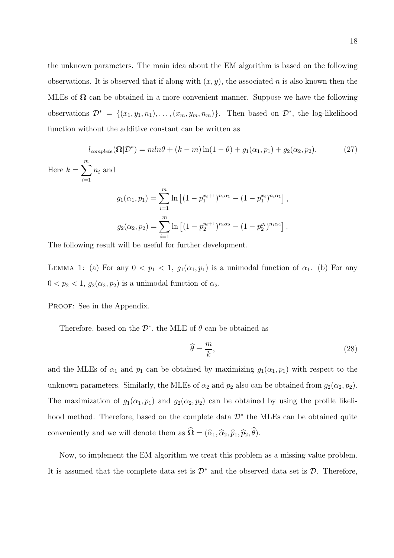the unknown parameters. The main idea about the EM algorithm is based on the following observations. It is observed that if along with  $(x, y)$ , the associated n is also known then the MLEs of  $\Omega$  can be obtained in a more convenient manner. Suppose we have the following observations  $\mathcal{D}^* = \{(x_1, y_1, n_1), \ldots, (x_m, y_m, n_m)\}\.$  Then based on  $\mathcal{D}^*$ , the log-likelihood function without the additive constant can be written as

$$
l_{complete}(\Omega|\mathcal{D}^*) = mln\theta + (k - m)\ln(1 - \theta) + g_1(\alpha_1, p_1) + g_2(\alpha_2, p_2).
$$
 (27)  
Here  $k = \sum_{i=1}^{m} n_i$  and  

$$
g_1(\alpha_1, p_1) = \sum_{i=1}^{m} \ln\left[(1 - p_1^{x_i+1})^{n_i\alpha_1} - (1 - p_1^{x_i})^{n_i\alpha_1}\right],
$$

$$
g_2(\alpha_2, p_2) = \sum_{i=1}^{m} \ln\left[(1 - p_2^{y_i+1})^{n_i\alpha_2} - (1 - p_2^{y_i})^{n_i\alpha_2}\right].
$$

The following result will be useful for further development.

LEMMA 1: (a) For any  $0 < p_1 < 1$ ,  $g_1(\alpha_1, p_1)$  is a unimodal function of  $\alpha_1$ . (b) For any  $0 < p_2 < 1$ ,  $g_2(\alpha_2, p_2)$  is a unimodal function of  $\alpha_2$ .

PROOF: See in the Appendix.

Therefore, based on the  $\mathcal{D}^*$ , the MLE of  $\theta$  can be obtained as

$$
\widehat{\theta} = \frac{m}{k},\tag{28}
$$

and the MLEs of  $\alpha_1$  and  $p_1$  can be obtained by maximizing  $g_1(\alpha_1, p_1)$  with respect to the unknown parameters. Similarly, the MLEs of  $\alpha_2$  and  $p_2$  also can be obtained from  $g_2(\alpha_2, p_2)$ . The maximization of  $g_1(\alpha_1, p_1)$  and  $g_2(\alpha_2, p_2)$  can be obtained by using the profile likelihood method. Therefore, based on the complete data  $\mathcal{D}^*$  the MLEs can be obtained quite conveniently and we will denote them as  $\hat{\Omega} = (\hat{\alpha}_1, \hat{\alpha}_2, \hat{p}_1, \hat{p}_2, \hat{\theta}).$ 

Now, to implement the EM algorithm we treat this problem as a missing value problem. It is assumed that the complete data set is  $\mathcal{D}^*$  and the observed data set is  $\mathcal{D}$ . Therefore,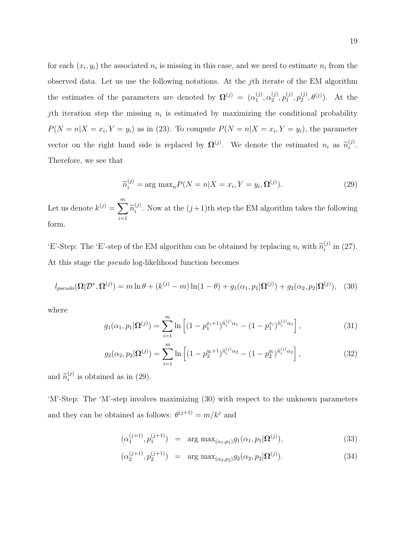for each  $(x_i, y_i)$  the associated  $n_i$  is missing in this case, and we need to estimate  $n_i$  from the observed data. Let us use the following notations. At the jth iterate of the EM algorithm the estimates of the parameters are denoted by  $\mathbf{\Omega}^{(j)} = (\alpha_1^{(j)})^T$  $_{1}^{(j)}, \alpha_{2}^{(j)}$  $\binom{(j)}{2},p_1^{(j)}$  $\mathfrak{h}_1^{(j)}, \mathfrak{p}_2^{(j)}$  $2^{(j)}, \theta^{(j)}$ . At the jth iteration step the missing  $n_i$  is estimated by maximizing the conditional probability  $P(N = n | X = x_i, Y = y_i)$  as in (23). To compute  $P(N = n | X = x_i, Y = y_i)$ , the parameter vector on the right hand side is replaced by  $\mathbf{\Omega}^{(j)}$ . We denote the estimated  $n_i$  as  $\tilde{n}_i^{(j)}$  $\binom{J}{i}$ . Therefore, we see that

$$
\widetilde{n}_i^{(j)} = \arg \max_n P(N = n | X = x_i, Y = y_i, \Omega^{(j)}).
$$
\n(29)

Let us denote  $k^{(j)} = \sum_{i=1}^{m}$  $\sum_{i=1} \widetilde{n}_{i}^{(j)}$  $i^{(j)}$ . Now at the  $(j+1)$ th step the EM algorithm takes the following form.

'E'-Step: The 'E'-step of the EM algorithm can be obtained by replacing  $n_i$  with  $\widetilde{n}_i^{(j)}$  $i^{(j)}$  in (27). At this stage the pseudo log-likelihood function becomes

$$
l_{pseudo}(\mathbf{\Omega}|\mathcal{D}^*,\mathbf{\Omega}^{(j)}) = m \ln \theta + (k^{(j)} - m) \ln(1 - \theta) + g_1(\alpha_1, p_1 | \mathbf{\Omega}^{(j)}) + g_2(\alpha_2, p_2 | \mathbf{\Omega}^{(j)}), \quad (30)
$$

where

$$
g_1(\alpha_1, p_1 | \mathbf{\Omega}^{(j)}) = \sum_{i=1}^m \ln \left[ (1 - p_1^{x_i + 1})^{\tilde{n}_i^{(j)} \alpha_1} - (1 - p_1^{x_i})^{\tilde{n}_i^{(j)} \alpha_1} \right],
$$
\n(31)

$$
g_2(\alpha_2, p_2 | \mathbf{\Omega}^{(j)}) = \sum_{i=1}^m \ln \left[ (1 - p_2^{y_i + 1})^{\tilde{n}_i^{(j)} \alpha_2} - (1 - p_2^{y_i})^{\tilde{n}_i^{(j)} \alpha_2} \right],
$$
\n(32)

and  $\widetilde{n}_{i}^{(j)}$  $i^{(j)}$  is obtained as in (29).

'M'-Step: The 'M'-step involves maximizing (30) with respect to the unknown parameters and they can be obtained as follows:  $\theta^{(j+1)} = m/k^j$  and

$$
(\alpha_1^{(j+1)}, p_1^{(j+1)}) = \arg \max_{(\alpha_1, p_1)} g_1(\alpha_1, p_1 | \mathbf{\Omega}^{(j)}), \tag{33}
$$

$$
(\alpha_2^{(j+1)}, p_2^{(j+1)}) = \arg \max_{(\alpha_2, p_2)} g_2(\alpha_2, p_2 | \mathbf{\Omega}^{(j)}).
$$
 (34)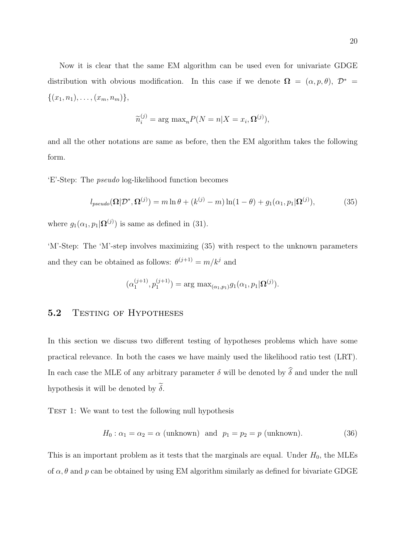Now it is clear that the same EM algorithm can be used even for univariate GDGE distribution with obvious modification. In this case if we denote  $\Omega = (\alpha, p, \theta), \mathcal{D}^* =$  $\{(x_1, n_1), \ldots, (x_m, n_m)\},\$ 

$$
\widetilde{n}_i^{(j)} = \arg \max_n P(N = n | X = x_i, \Omega^{(j)}),
$$

and all the other notations are same as before, then the EM algorithm takes the following form.

'E'-Step: The pseudo log-likelihood function becomes

$$
l_{pseudo}(\mathbf{\Omega}|\mathcal{D}^*,\mathbf{\Omega}^{(j)}) = m \ln \theta + (k^{(j)} - m) \ln(1 - \theta) + g_1(\alpha_1, p_1 | \mathbf{\Omega}^{(j)}), \tag{35}
$$

where  $g_1(\alpha_1, p_1 | \mathbf{\Omega}^{(j)})$  is same as defined in (31).

'M'-Step: The 'M'-step involves maximizing (35) with respect to the unknown parameters and they can be obtained as follows:  $\theta^{(j+1)} = m/k^j$  and

$$
(\alpha_1^{(j+1)}, p_1^{(j+1)}) = \arg \max_{(\alpha_1, p_1)} g_1(\alpha_1, p_1 | \mathbf{\Omega}^{(j)}).
$$

#### 5.2 TESTING OF HYPOTHESES

In this section we discuss two different testing of hypotheses problems which have some practical relevance. In both the cases we have mainly used the likelihood ratio test (LRT). In each case the MLE of any arbitrary parameter  $\delta$  will be denoted by  $\hat{\delta}$  and under the null hypothesis it will be denoted by  $\tilde{\delta}$ .

TEST 1: We want to test the following null hypothesis

$$
H_0: \alpha_1 = \alpha_2 = \alpha \text{ (unknown) and } p_1 = p_2 = p \text{ (unknown).}
$$
 (36)

This is an important problem as it tests that the marginals are equal. Under  $H_0$ , the MLEs of  $\alpha$ ,  $\theta$  and  $p$  can be obtained by using EM algorithm similarly as defined for bivariate GDGE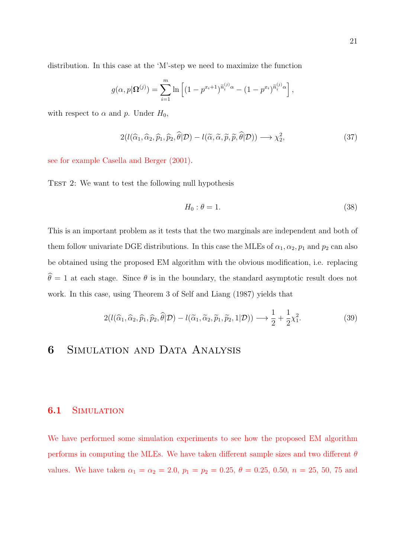distribution. In this case at the 'M'-step we need to maximize the function

$$
g(\alpha, p | \mathbf{\Omega}^{(j)}) = \sum_{i=1}^{m} \ln \left[ (1 - p^{x_i+1})^{\tilde{n}_i^{(j)} \alpha} - (1 - p^{x_i})^{\tilde{n}_i^{(j)} \alpha} \right],
$$

with respect to  $\alpha$  and  $p$ . Under  $H_0$ ,

$$
2(l(\widehat{\alpha}_1, \widehat{\alpha}_2, \widehat{p}_1, \widehat{p}_2, \widehat{\theta}|\mathcal{D}) - l(\widetilde{\alpha}, \widetilde{\alpha}, \widetilde{p}, \widetilde{p}, \widehat{\theta}|\mathcal{D})) \longrightarrow \chi^2_2,
$$
\n(37)

see for example Casella and Berger (2001).

TEST 2: We want to test the following null hypothesis

$$
H_0: \theta = 1. \tag{38}
$$

This is an important problem as it tests that the two marginals are independent and both of them follow univariate DGE distributions. In this case the MLEs of  $\alpha_1, \alpha_2, p_1$  and  $p_2$  can also be obtained using the proposed EM algorithm with the obvious modification, i.e. replacing  $\hat{\theta} = 1$  at each stage. Since  $\theta$  is in the boundary, the standard asymptotic result does not work. In this case, using Theorem 3 of Self and Liang (1987) yields that

$$
2(l(\widehat{\alpha}_1, \widehat{\alpha}_2, \widehat{p}_1, \widehat{p}_2, \widehat{\theta}|\mathcal{D}) - l(\widetilde{\alpha}_1, \widetilde{\alpha}_2, \widetilde{p}_1, \widetilde{p}_2, 1|\mathcal{D})) \longrightarrow \frac{1}{2} + \frac{1}{2}\chi_1^2.
$$
 (39)

### 6 Simulation and Data Analysis

#### 6.1 SIMULATION

We have performed some simulation experiments to see how the proposed EM algorithm performs in computing the MLEs. We have taken different sample sizes and two different  $\theta$ values. We have taken  $\alpha_1 = \alpha_2 = 2.0$ ,  $p_1 = p_2 = 0.25$ ,  $\theta = 0.25$ , 0.50,  $n = 25$ , 50, 75 and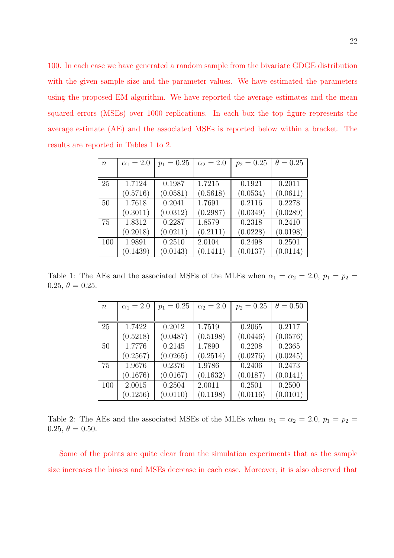100. In each case we have generated a random sample from the bivariate GDGE distribution with the given sample size and the parameter values. We have estimated the parameters using the proposed EM algorithm. We have reported the average estimates and the mean squared errors (MSEs) over 1000 replications. In each box the top figure represents the average estimate (AE) and the associated MSEs is reported below within a bracket. The results are reported in Tables 1 to 2.

| $\boldsymbol{n}$ | $\alpha_1 = 2.0$ | $p_1 = 0.25$ | $\alpha_2 = 2.0$ | $p_2 = 0.25$ | $\theta = 0.25$ |
|------------------|------------------|--------------|------------------|--------------|-----------------|
|                  |                  |              |                  |              |                 |
| 25               | 1.7124           | 0.1987       | 1.7215           | 0.1921       | 0.2011          |
|                  | (0.5716)         | (0.0581)     | (0.5618)         | (0.0534)     | (0.0611)        |
| 50               | 1.7618           | 0.2041       | 1.7691           | 0.2116       | 0.2278          |
|                  | (0.3011)         | (0.0312)     | (0.2987)         | (0.0349)     | (0.0289)        |
| 75               | 1.8312           | 0.2287       | 1.8579           | 0.2318       | 0.2410          |
|                  | (0.2018)         | (0.0211)     | (0.2111)         | (0.0228)     | (0.0198)        |
| 100              | 1.9891           | 0.2510       | 2.0104           | 0.2498       | 0.2501          |
|                  | (0.1439)         | (0.0143)     | (0.1411)         | (0.0137)     | (0.0114)        |

Table 1: The AEs and the associated MSEs of the MLEs when  $\alpha_1 = \alpha_2 = 2.0, p_1 = p_2 =$ 0.25,  $\theta = 0.25$ .

| $\boldsymbol{n}$ | $\alpha_1 = 2.0$ | $p_1 = 0.25$ | $\alpha_2 = 2.0$ | $p_2 = 0.25$ | $\theta = 0.50$ |
|------------------|------------------|--------------|------------------|--------------|-----------------|
|                  |                  |              |                  |              |                 |
| 25               | 1.7422           | 0.2012       | 1.7519           | 0.2065       | 0.2117          |
|                  | (0.5218)         | (0.0487)     | (0.5198)         | (0.0446)     | (0.0576)        |
| 50               | 1.7776           | 0.2145       | 1.7890           | 0.2208       | 0.2365          |
|                  | (0.2567)         | (0.0265)     | (0.2514)         | (0.0276)     | (0.0245)        |
| 75               | 1.9676           | 0.2376       | 1.9786           | 0.2406       | 0.2473          |
|                  | (0.1676)         | (0.0167)     | (0.1632)         | (0.0187)     | (0.0141)        |
| 100              | 2.0015           | 0.2504       | 2.0011           | 0.2501       | 0.2500          |
|                  | (0.1256)         | (0.0110)     | (0.1198)         | (0.0116)     | (0.0101)        |

Table 2: The AEs and the associated MSEs of the MLEs when  $\alpha_1 = \alpha_2 = 2.0, p_1 = p_2 =$ 0.25,  $\theta = 0.50$ .

Some of the points are quite clear from the simulation experiments that as the sample size increases the biases and MSEs decrease in each case. Moreover, it is also observed that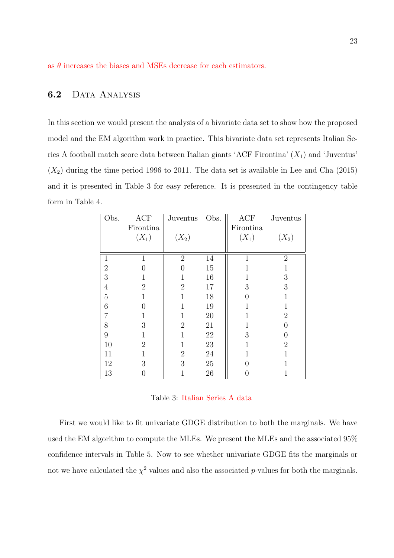as  $\theta$  increases the biases and MSEs decrease for each estimators.

### 6.2 DATA ANALYSIS

In this section we would present the analysis of a bivariate data set to show how the proposed model and the EM algorithm work in practice. This bivariate data set represents Italian Series A football match score data between Italian giants 'ACF Firontina'  $(X_1)$  and 'Juventus'  $(X_2)$  during the time period 1996 to 2011. The data set is available in Lee and Cha (2015) and it is presented in Table 3 for easy reference. It is presented in the contingency table form in Table 4.

| Obs.             | ACF            | Juventus       | Obs.   | ACF              | Juventus       |
|------------------|----------------|----------------|--------|------------------|----------------|
|                  | Firontina      |                |        | Firontina        |                |
|                  | $(X_1)$        | $(X_2)$        |        | $(X_1)$          | $(X_2)$        |
|                  |                |                |        |                  |                |
| $\mathbf{1}$     | 1              | $\overline{2}$ | 14     | $\mathbf{1}$     | $\overline{2}$ |
| $\overline{2}$   | 0              | $\theta$       | 15     | 1                | $\mathbf 1$    |
| 3                | 1              |                | 16     | 1                | $\sqrt{3}$     |
| $\overline{4}$   | $\overline{2}$ | $\overline{2}$ | 17     | 3                | $\mathfrak{Z}$ |
| $\overline{5}$   | $\mathbf 1$    | $\mathbf{1}$   | $18\,$ | $\boldsymbol{0}$ | $\mathbf{1}$   |
| 6                | $\theta$       | $\mathbf{1}$   | 19     | $\mathbf{1}$     | $\mathbf{1}$   |
| $\overline{7}$   | $\mathbf{1}$   | $\mathbf{1}$   | $20\,$ | $\mathbf{1}$     | $\overline{2}$ |
| 8                | 3              | $\overline{2}$ | $21\,$ | $\mathbf{1}$     | 0              |
| $\boldsymbol{9}$ | $\mathbf{1}$   | 1              | $22\,$ | 3                | 0              |
| 10               | $\overline{2}$ | $\mathbf{1}$   | $23\,$ | 1                | $\sqrt{2}$     |
| 11               | $\mathbf 1$    | $\overline{2}$ | $24\,$ | $\mathbf 1$      | $\overline{1}$ |
| 12               | 3              | 3              | $25\,$ | $\theta$         | $\mathbf{1}$   |
| 13               | 0              |                | 26     | 0                | $\mathbf{1}$   |

#### Table 3: Italian Series A data

First we would like to fit univariate GDGE distribution to both the marginals. We have used the EM algorithm to compute the MLEs. We present the MLEs and the associated 95% confidence intervals in Table 5. Now to see whether univariate GDGE fits the marginals or not we have calculated the  $\chi^2$  values and also the associated p-values for both the marginals.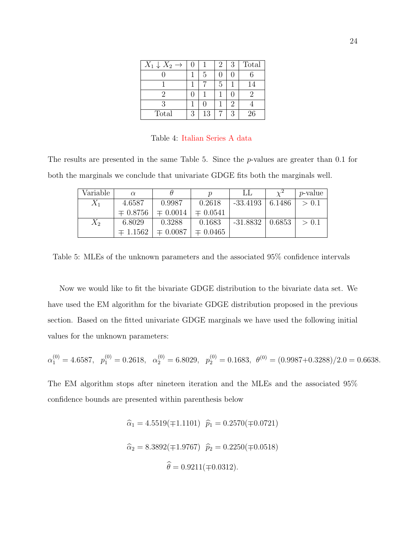| $X_1 \downarrow X_2 \rightarrow$ |   |    | 2 |   | Total |
|----------------------------------|---|----|---|---|-------|
|                                  |   | 5  |   |   |       |
|                                  |   |    | 5 |   | 14    |
|                                  |   |    |   |   |       |
|                                  |   |    |   |   |       |
| Total                            | 3 | 13 |   | P | 26    |

Table 4: Italian Series A data

The results are presented in the same Table 5. Since the p-values are greater than 0.1 for both the marginals we conclude that univariate GDGE fits both the marginals well.

| Variable | $\alpha$     |              | Ŋ            |            |        | <i>p</i> -value |
|----------|--------------|--------------|--------------|------------|--------|-----------------|
| $X_1$    | 4.6587       | 0.9987       | 0.2618       | $-33.4193$ | 6.1486 | > 0.1           |
|          | $\mp 0.8756$ | $\mp 0.0014$ | $\mp 0.0541$ |            |        |                 |
| $X_2$    | 6.8029       | 0.3288       | 0.1683       | -31.8832   | 0.6853 | > 0.1           |
|          | $\mp$ 1.1562 | $\mp 0.0087$ | $\mp 0.0465$ |            |        |                 |

Table 5: MLEs of the unknown parameters and the associated 95% confidence intervals

Now we would like to fit the bivariate GDGE distribution to the bivariate data set. We have used the EM algorithm for the bivariate GDGE distribution proposed in the previous section. Based on the fitted univariate GDGE marginals we have used the following initial values for the unknown parameters:

$$
\alpha_1^{(0)} = 4.6587, \ \ p_1^{(0)} = 0.2618, \ \alpha_2^{(0)} = 6.8029, \ \ p_2^{(0)} = 0.1683, \ \theta^{(0)} = (0.9987 + 0.3288)/2.0 = 0.6638.
$$

The EM algorithm stops after nineteen iteration and the MLEs and the associated 95% confidence bounds are presented within parenthesis below

$$
\hat{\alpha}_1 = 4.5519(\mp 1.1101) \quad \hat{p}_1 = 0.2570(\mp 0.0721)
$$
\n
$$
\hat{\alpha}_2 = 8.3892(\mp 1.9767) \quad \hat{p}_2 = 0.2250(\mp 0.0518)
$$
\n
$$
\hat{\theta} = 0.9211(\mp 0.0312).
$$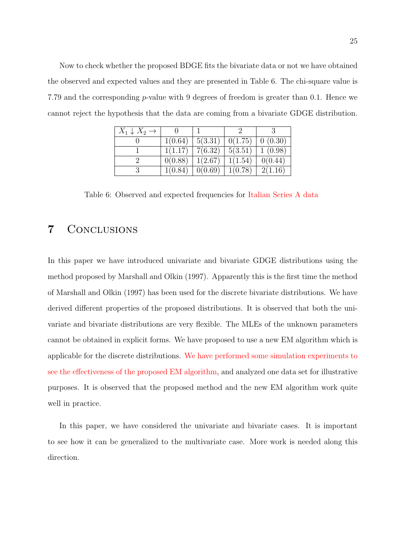Now to check whether the proposed BDGE fits the bivariate data or not we have obtained the observed and expected values and they are presented in Table 6. The chi-square value is 7.79 and the corresponding p-value with 9 degrees of freedom is greater than 0.1. Hence we cannot reject the hypothesis that the data are coming from a bivariate GDGE distribution.

| $X_1 \downarrow X_2 \rightarrow$ |         |         |         |         |
|----------------------------------|---------|---------|---------|---------|
|                                  | 1(0.64) | 5(3.31) | 0(1.75) | 0(0.30) |
|                                  | 1(1.17) | 7(6.32) | 5(3.51) | 1(0.98) |
|                                  | 0(0.88) | 1(2.67) | 1(1.54) | 0(0.44) |
|                                  | 1(0.84) | 0(0.69) | 1(0.78) | 2(1.16) |

Table 6: Observed and expected frequencies for Italian Series A data

### 7 Conclusions

In this paper we have introduced univariate and bivariate GDGE distributions using the method proposed by Marshall and Olkin (1997). Apparently this is the first time the method of Marshall and Olkin (1997) has been used for the discrete bivariate distributions. We have derived different properties of the proposed distributions. It is observed that both the univariate and bivariate distributions are very flexible. The MLEs of the unknown parameters cannot be obtained in explicit forms. We have proposed to use a new EM algorithm which is applicable for the discrete distributions. We have performed some simulation experiments to see the effectiveness of the proposed EM algorithm, and analyzed one data set for illustrative purposes. It is observed that the proposed method and the new EM algorithm work quite well in practice.

In this paper, we have considered the univariate and bivariate cases. It is important to see how it can be generalized to the multivariate case. More work is needed along this direction.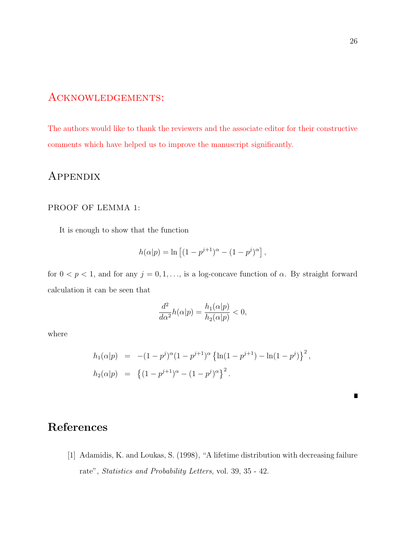### Acknowledgements:

The authors would like to thank the reviewers and the associate editor for their constructive comments which have helped us to improve the manuscript significantly.

### **APPENDIX**

#### PROOF OF LEMMA 1:

It is enough to show that the function

$$
h(\alpha|p) = \ln \left[ (1 - p^{j+1})^{\alpha} - (1 - p^j)^{\alpha} \right],
$$

for  $0 < p < 1$ , and for any  $j = 0, 1, \ldots$ , is a log-concave function of  $\alpha$ . By straight forward calculation it can be seen that

$$
\frac{d^2}{d\alpha^2}h(\alpha|p) = \frac{h_1(\alpha|p)}{h_2(\alpha|p)} < 0,
$$

where

$$
h_1(\alpha|p) = -(1-p^j)^{\alpha}(1-p^{j+1})^{\alpha} \left\{ \ln(1-p^{j+1}) - \ln(1-p^j) \right\}^2,
$$
  

$$
h_2(\alpha|p) = \left\{ (1-p^{j+1})^{\alpha} - (1-p^j)^{\alpha} \right\}^2.
$$

References

[1] Adamidis, K. and Loukas, S. (1998), "A lifetime distribution with decreasing failure rate", Statistics and Probability Letters, vol. 39, 35 - 42.

 $\blacksquare$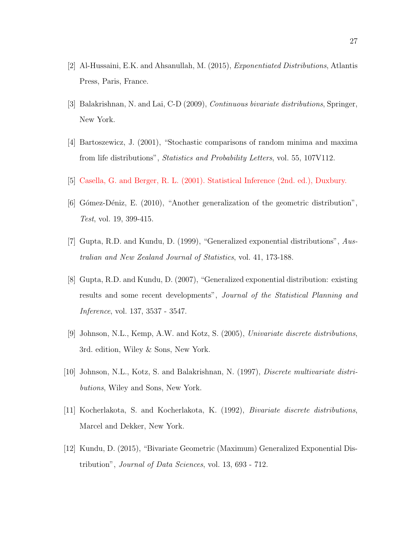- [2] Al-Hussaini, E.K. and Ahsanullah, M. (2015), Exponentiated Distributions, Atlantis Press, Paris, France.
- [3] Balakrishnan, N. and Lai, C-D (2009), Continuous bivariate distributions, Springer, New York.
- [4] Bartoszewicz, J. (2001), "Stochastic comparisons of random minima and maxima from life distributions", Statistics and Probability Letters, vol. 55, 107V112.
- [5] Casella, G. and Berger, R. L. (2001). Statistical Inference (2nd. ed.), Duxbury.
- [6] Gómez-Déniz, E. (2010), "Another generalization of the geometric distribution", Test, vol. 19, 399-415.
- [7] Gupta, R.D. and Kundu, D. (1999), "Generalized exponential distributions", Australian and New Zealand Journal of Statistics, vol. 41, 173-188.
- [8] Gupta, R.D. and Kundu, D. (2007), "Generalized exponential distribution: existing results and some recent developments", Journal of the Statistical Planning and Inference, vol. 137, 3537 - 3547.
- [9] Johnson, N.L., Kemp, A.W. and Kotz, S. (2005), Univariate discrete distributions, 3rd. edition, Wiley & Sons, New York.
- [10] Johnson, N.L., Kotz, S. and Balakrishnan, N. (1997), Discrete multivariate distributions, Wiley and Sons, New York.
- [11] Kocherlakota, S. and Kocherlakota, K. (1992), Bivariate discrete distributions, Marcel and Dekker, New York.
- [12] Kundu, D. (2015), "Bivariate Geometric (Maximum) Generalized Exponential Distribution", Journal of Data Sciences, vol. 13, 693 - 712.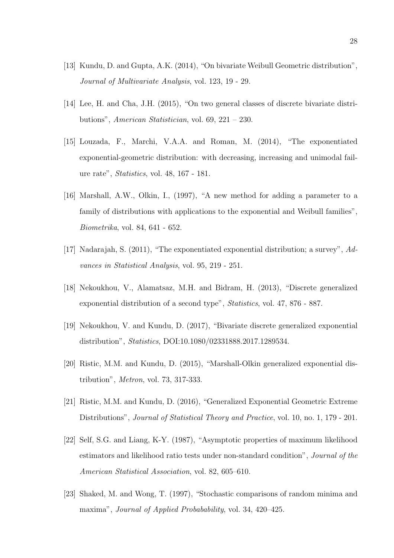- [13] Kundu, D. and Gupta, A.K. (2014), "On bivariate Weibull Geometric distribution", Journal of Multivariate Analysis, vol. 123, 19 - 29.
- [14] Lee, H. and Cha, J.H. (2015), "On two general classes of discrete bivariate distributions", American Statistician, vol. 69, 221 – 230.
- [15] Louzada, F., Marchi, V.A.A. and Roman, M. (2014), "The exponentiated exponential-geometric distribution: with decreasing, increasing and unimodal failure rate", Statistics, vol. 48, 167 - 181.
- [16] Marshall, A.W., Olkin, I., (1997), "A new method for adding a parameter to a family of distributions with applications to the exponential and Weibull families", Biometrika, vol. 84, 641 - 652.
- [17] Nadarajah, S. (2011), "The exponentiated exponential distribution; a survey", Advances in Statistical Analysis, vol. 95, 219 - 251.
- [18] Nekoukhou, V., Alamatsaz, M.H. and Bidram, H. (2013), "Discrete generalized exponential distribution of a second type", Statistics, vol. 47, 876 - 887.
- [19] Nekoukhou, V. and Kundu, D. (2017), "Bivariate discrete generalized exponential distribution", Statistics, DOI:10.1080/02331888.2017.1289534.
- [20] Ristic, M.M. and Kundu, D. (2015), "Marshall-Olkin generalized exponential distribution", Metron, vol. 73, 317-333.
- [21] Ristic, M.M. and Kundu, D. (2016), "Generalized Exponential Geometric Extreme Distributions", Journal of Statistical Theory and Practice, vol. 10, no. 1, 179 - 201.
- [22] Self, S.G. and Liang, K-Y. (1987), "Asymptotic properties of maximum likelihood estimators and likelihood ratio tests under non-standard condition", Journal of the American Statistical Association, vol. 82, 605–610.
- [23] Shaked, M. and Wong, T. (1997), "Stochastic comparisons of random minima and maxima", Journal of Applied Probabability, vol. 34, 420–425.